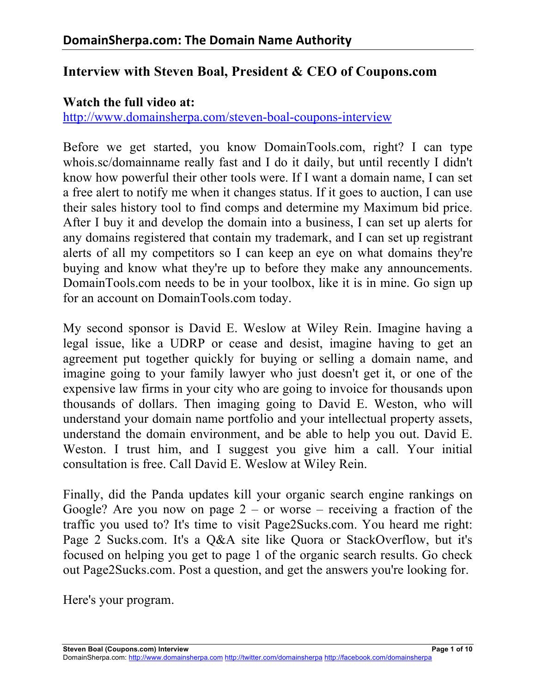# **Interview with Steven Boal, President & CEO of Coupons.com**

#### **Watch the full video at:**

http://www.domainsherpa.com/steven-boal-coupons-interview

Before we get started, you know DomainTools.com, right? I can type whois.sc/domainname really fast and I do it daily, but until recently I didn't know how powerful their other tools were. If I want a domain name, I can set a free alert to notify me when it changes status. If it goes to auction, I can use their sales history tool to find comps and determine my Maximum bid price. After I buy it and develop the domain into a business, I can set up alerts for any domains registered that contain my trademark, and I can set up registrant alerts of all my competitors so I can keep an eye on what domains they're buying and know what they're up to before they make any announcements. DomainTools.com needs to be in your toolbox, like it is in mine. Go sign up for an account on DomainTools.com today.

My second sponsor is David E. Weslow at Wiley Rein. Imagine having a legal issue, like a UDRP or cease and desist, imagine having to get an agreement put together quickly for buying or selling a domain name, and imagine going to your family lawyer who just doesn't get it, or one of the expensive law firms in your city who are going to invoice for thousands upon thousands of dollars. Then imaging going to David E. Weston, who will understand your domain name portfolio and your intellectual property assets, understand the domain environment, and be able to help you out. David E. Weston. I trust him, and I suggest you give him a call. Your initial consultation is free. Call David E. Weslow at Wiley Rein.

Finally, did the Panda updates kill your organic search engine rankings on Google? Are you now on page  $2 -$  or worse – receiving a fraction of the traffic you used to? It's time to visit Page2Sucks.com. You heard me right: Page 2 Sucks.com. It's a Q&A site like Quora or StackOverflow, but it's focused on helping you get to page 1 of the organic search results. Go check out Page2Sucks.com. Post a question, and get the answers you're looking for.

Here's your program.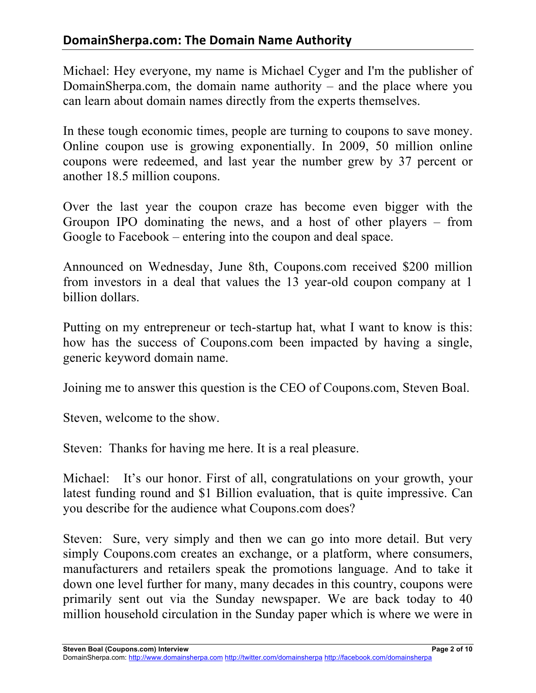# **DomainSherpa.com: The Domain Name Authority**

Michael: Hey everyone, my name is Michael Cyger and I'm the publisher of DomainSherpa.com, the domain name authority – and the place where you can learn about domain names directly from the experts themselves.

In these tough economic times, people are turning to coupons to save money. Online coupon use is growing exponentially. In 2009, 50 million online coupons were redeemed, and last year the number grew by 37 percent or another 18.5 million coupons.

Over the last year the coupon craze has become even bigger with the Groupon IPO dominating the news, and a host of other players – from Google to Facebook – entering into the coupon and deal space.

Announced on Wednesday, June 8th, Coupons.com received \$200 million from investors in a deal that values the 13 year-old coupon company at 1 billion dollars.

Putting on my entrepreneur or tech-startup hat, what I want to know is this: how has the success of Coupons.com been impacted by having a single, generic keyword domain name.

Joining me to answer this question is the CEO of Coupons.com, Steven Boal.

Steven, welcome to the show.

Steven: Thanks for having me here. It is a real pleasure.

Michael: It's our honor. First of all, congratulations on your growth, your latest funding round and \$1 Billion evaluation, that is quite impressive. Can you describe for the audience what Coupons.com does?

Steven: Sure, very simply and then we can go into more detail. But very simply Coupons.com creates an exchange, or a platform, where consumers, manufacturers and retailers speak the promotions language. And to take it down one level further for many, many decades in this country, coupons were primarily sent out via the Sunday newspaper. We are back today to 40 million household circulation in the Sunday paper which is where we were in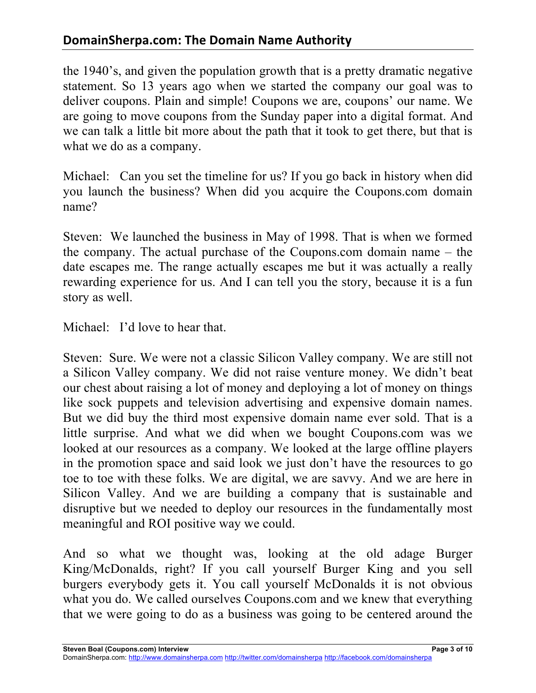# **DomainSherpa.com: The Domain Name Authority**

the 1940's, and given the population growth that is a pretty dramatic negative statement. So 13 years ago when we started the company our goal was to deliver coupons. Plain and simple! Coupons we are, coupons' our name. We are going to move coupons from the Sunday paper into a digital format. And we can talk a little bit more about the path that it took to get there, but that is what we do as a company.

Michael: Can you set the timeline for us? If you go back in history when did you launch the business? When did you acquire the Coupons.com domain name?

Steven: We launched the business in May of 1998. That is when we formed the company. The actual purchase of the Coupons.com domain name – the date escapes me. The range actually escapes me but it was actually a really rewarding experience for us. And I can tell you the story, because it is a fun story as well.

Michael: I'd love to hear that.

Steven: Sure. We were not a classic Silicon Valley company. We are still not a Silicon Valley company. We did not raise venture money. We didn't beat our chest about raising a lot of money and deploying a lot of money on things like sock puppets and television advertising and expensive domain names. But we did buy the third most expensive domain name ever sold. That is a little surprise. And what we did when we bought Coupons.com was we looked at our resources as a company. We looked at the large offline players in the promotion space and said look we just don't have the resources to go toe to toe with these folks. We are digital, we are savvy. And we are here in Silicon Valley. And we are building a company that is sustainable and disruptive but we needed to deploy our resources in the fundamentally most meaningful and ROI positive way we could.

And so what we thought was, looking at the old adage Burger King/McDonalds, right? If you call yourself Burger King and you sell burgers everybody gets it. You call yourself McDonalds it is not obvious what you do. We called ourselves Coupons.com and we knew that everything that we were going to do as a business was going to be centered around the

**Steven Boal (Coupons.com) Interview Page 3 of 10**

DomainSherpa.com: http://www.domainsherpa.com http://twitter.com/domainsherpa http://facebook.com/domainsherpa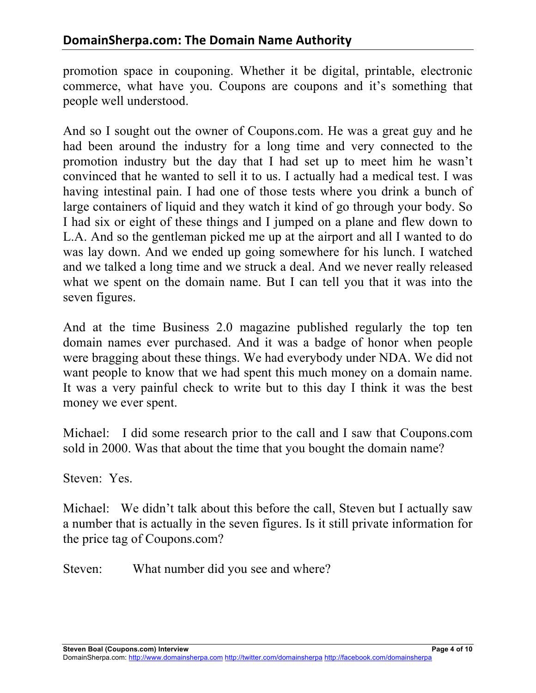promotion space in couponing. Whether it be digital, printable, electronic commerce, what have you. Coupons are coupons and it's something that people well understood.

And so I sought out the owner of Coupons.com. He was a great guy and he had been around the industry for a long time and very connected to the promotion industry but the day that I had set up to meet him he wasn't convinced that he wanted to sell it to us. I actually had a medical test. I was having intestinal pain. I had one of those tests where you drink a bunch of large containers of liquid and they watch it kind of go through your body. So I had six or eight of these things and I jumped on a plane and flew down to L.A. And so the gentleman picked me up at the airport and all I wanted to do was lay down. And we ended up going somewhere for his lunch. I watched and we talked a long time and we struck a deal. And we never really released what we spent on the domain name. But I can tell you that it was into the seven figures.

And at the time Business 2.0 magazine published regularly the top ten domain names ever purchased. And it was a badge of honor when people were bragging about these things. We had everybody under NDA. We did not want people to know that we had spent this much money on a domain name. It was a very painful check to write but to this day I think it was the best money we ever spent.

Michael: I did some research prior to the call and I saw that Coupons.com sold in 2000. Was that about the time that you bought the domain name?

Steven: Yes.

Michael: We didn't talk about this before the call, Steven but I actually saw a number that is actually in the seven figures. Is it still private information for the price tag of Coupons.com?

Steven: What number did you see and where?

**Steven Boal (Coupons.com) Interview Page 4 of 10**

DomainSherpa.com: http://www.domainsherpa.com http://twitter.com/domainsherpa http://facebook.com/domainsherpa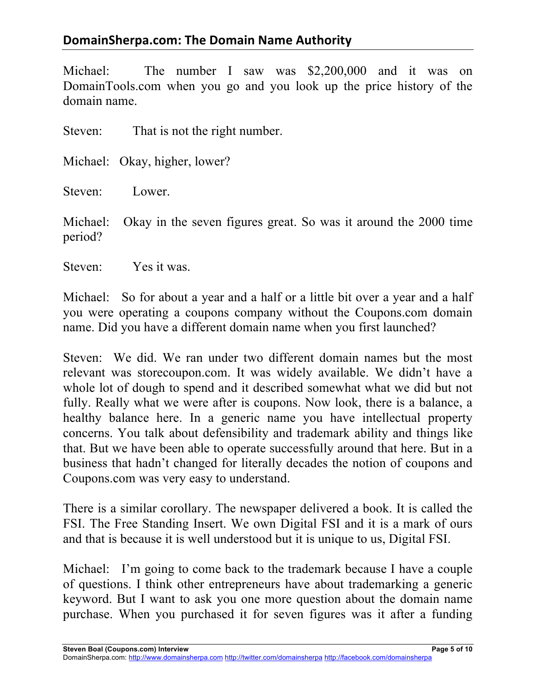# **DomainSherpa.com: The Domain Name Authority**

Michael: The number I saw was \$2,200,000 and it was on DomainTools.com when you go and you look up the price history of the domain name.

Steven: That is not the right number.

Michael: Okay, higher, lower?

Steven: Lower.

Michael: Okay in the seven figures great. So was it around the 2000 time period?

Steven: Yes it was.

Michael: So for about a year and a half or a little bit over a year and a half you were operating a coupons company without the Coupons.com domain name. Did you have a different domain name when you first launched?

Steven: We did. We ran under two different domain names but the most relevant was storecoupon.com. It was widely available. We didn't have a whole lot of dough to spend and it described somewhat what we did but not fully. Really what we were after is coupons. Now look, there is a balance, a healthy balance here. In a generic name you have intellectual property concerns. You talk about defensibility and trademark ability and things like that. But we have been able to operate successfully around that here. But in a business that hadn't changed for literally decades the notion of coupons and Coupons.com was very easy to understand.

There is a similar corollary. The newspaper delivered a book. It is called the FSI. The Free Standing Insert. We own Digital FSI and it is a mark of ours and that is because it is well understood but it is unique to us, Digital FSI.

Michael: I'm going to come back to the trademark because I have a couple of questions. I think other entrepreneurs have about trademarking a generic keyword. But I want to ask you one more question about the domain name purchase. When you purchased it for seven figures was it after a funding

**Steven Boal (Coupons.com) Interview Page 5 of 10**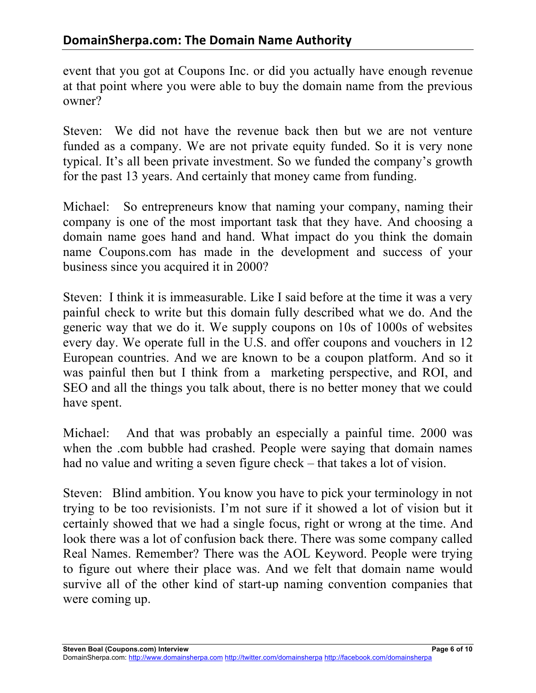event that you got at Coupons Inc. or did you actually have enough revenue at that point where you were able to buy the domain name from the previous owner?

Steven: We did not have the revenue back then but we are not venture funded as a company. We are not private equity funded. So it is very none typical. It's all been private investment. So we funded the company's growth for the past 13 years. And certainly that money came from funding.

Michael: So entrepreneurs know that naming your company, naming their company is one of the most important task that they have. And choosing a domain name goes hand and hand. What impact do you think the domain name Coupons.com has made in the development and success of your business since you acquired it in 2000?

Steven: I think it is immeasurable. Like I said before at the time it was a very painful check to write but this domain fully described what we do. And the generic way that we do it. We supply coupons on 10s of 1000s of websites every day. We operate full in the U.S. and offer coupons and vouchers in 12 European countries. And we are known to be a coupon platform. And so it was painful then but I think from a marketing perspective, and ROI, and SEO and all the things you talk about, there is no better money that we could have spent.

Michael: And that was probably an especially a painful time. 2000 was when the .com bubble had crashed. People were saying that domain names had no value and writing a seven figure check – that takes a lot of vision.

Steven: Blind ambition. You know you have to pick your terminology in not trying to be too revisionists. I'm not sure if it showed a lot of vision but it certainly showed that we had a single focus, right or wrong at the time. And look there was a lot of confusion back there. There was some company called Real Names. Remember? There was the AOL Keyword. People were trying to figure out where their place was. And we felt that domain name would survive all of the other kind of start-up naming convention companies that were coming up.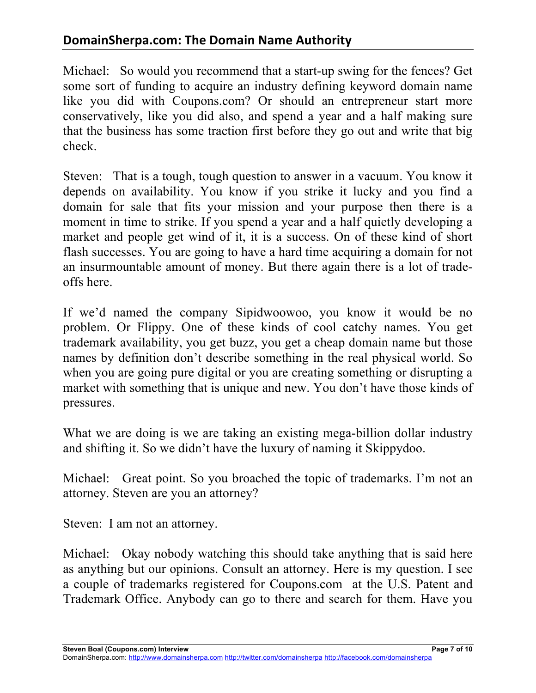Michael: So would you recommend that a start-up swing for the fences? Get some sort of funding to acquire an industry defining keyword domain name like you did with Coupons.com? Or should an entrepreneur start more conservatively, like you did also, and spend a year and a half making sure that the business has some traction first before they go out and write that big check.

Steven: That is a tough, tough question to answer in a vacuum. You know it depends on availability. You know if you strike it lucky and you find a domain for sale that fits your mission and your purpose then there is a moment in time to strike. If you spend a year and a half quietly developing a market and people get wind of it, it is a success. On of these kind of short flash successes. You are going to have a hard time acquiring a domain for not an insurmountable amount of money. But there again there is a lot of tradeoffs here.

If we'd named the company Sipidwoowoo, you know it would be no problem. Or Flippy. One of these kinds of cool catchy names. You get trademark availability, you get buzz, you get a cheap domain name but those names by definition don't describe something in the real physical world. So when you are going pure digital or you are creating something or disrupting a market with something that is unique and new. You don't have those kinds of pressures.

What we are doing is we are taking an existing mega-billion dollar industry and shifting it. So we didn't have the luxury of naming it Skippydoo.

Michael: Great point. So you broached the topic of trademarks. I'm not an attorney. Steven are you an attorney?

Steven: I am not an attorney.

Michael: Okay nobody watching this should take anything that is said here as anything but our opinions. Consult an attorney. Here is my question. I see a couple of trademarks registered for Coupons.com at the U.S. Patent and Trademark Office. Anybody can go to there and search for them. Have you

**Steven Boal (Coupons.com) Interview Page 7 of 10**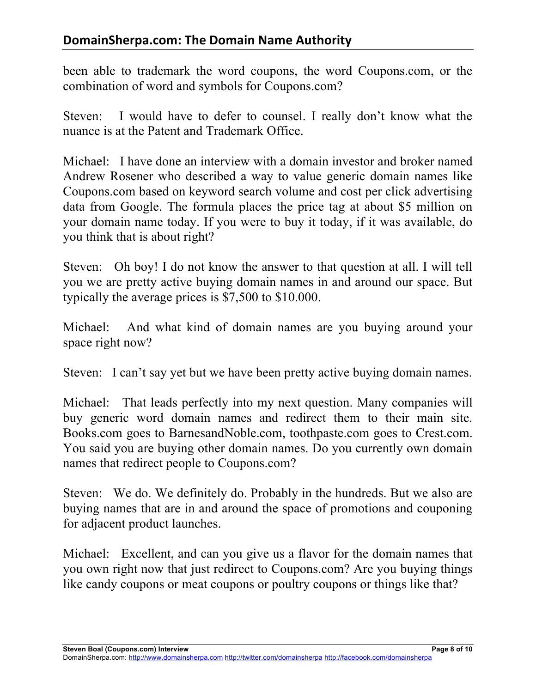been able to trademark the word coupons, the word Coupons.com, or the combination of word and symbols for Coupons.com?

Steven: I would have to defer to counsel. I really don't know what the nuance is at the Patent and Trademark Office.

Michael: I have done an interview with a domain investor and broker named Andrew Rosener who described a way to value generic domain names like Coupons.com based on keyword search volume and cost per click advertising data from Google. The formula places the price tag at about \$5 million on your domain name today. If you were to buy it today, if it was available, do you think that is about right?

Steven: Oh boy! I do not know the answer to that question at all. I will tell you we are pretty active buying domain names in and around our space. But typically the average prices is \$7,500 to \$10.000.

Michael: And what kind of domain names are you buying around your space right now?

Steven: I can't say yet but we have been pretty active buying domain names.

Michael: That leads perfectly into my next question. Many companies will buy generic word domain names and redirect them to their main site. Books.com goes to BarnesandNoble.com, toothpaste.com goes to Crest.com. You said you are buying other domain names. Do you currently own domain names that redirect people to Coupons.com?

Steven: We do. We definitely do. Probably in the hundreds. But we also are buying names that are in and around the space of promotions and couponing for adjacent product launches.

Michael: Excellent, and can you give us a flavor for the domain names that you own right now that just redirect to Coupons.com? Are you buying things like candy coupons or meat coupons or poultry coupons or things like that?

**Steven Boal (Coupons.com) Interview Page 8 of 10**

DomainSherpa.com: http://www.domainsherpa.com http://twitter.com/domainsherpa http://facebook.com/domainsherpa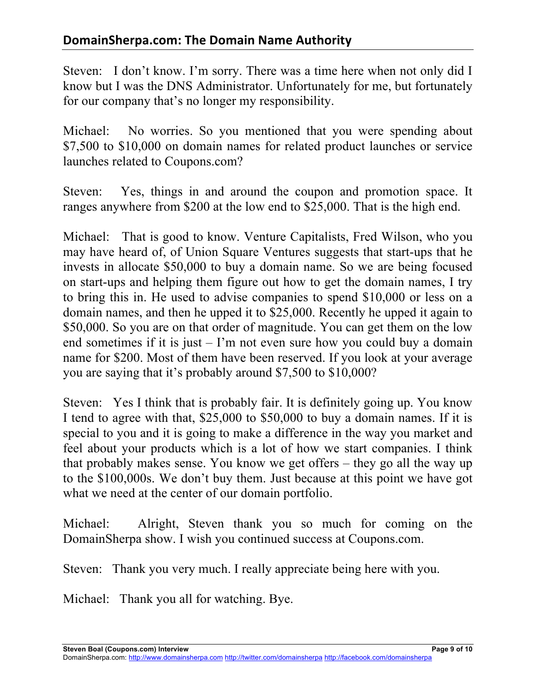Steven: I don't know. I'm sorry. There was a time here when not only did I know but I was the DNS Administrator. Unfortunately for me, but fortunately for our company that's no longer my responsibility.

Michael: No worries. So you mentioned that you were spending about \$7,500 to \$10,000 on domain names for related product launches or service launches related to Coupons.com?

Steven: Yes, things in and around the coupon and promotion space. It ranges anywhere from \$200 at the low end to \$25,000. That is the high end.

Michael: That is good to know. Venture Capitalists, Fred Wilson, who you may have heard of, of Union Square Ventures suggests that start-ups that he invests in allocate \$50,000 to buy a domain name. So we are being focused on start-ups and helping them figure out how to get the domain names, I try to bring this in. He used to advise companies to spend \$10,000 or less on a domain names, and then he upped it to \$25,000. Recently he upped it again to \$50,000. So you are on that order of magnitude. You can get them on the low end sometimes if it is just – I'm not even sure how you could buy a domain name for \$200. Most of them have been reserved. If you look at your average you are saying that it's probably around \$7,500 to \$10,000?

Steven: Yes I think that is probably fair. It is definitely going up. You know I tend to agree with that, \$25,000 to \$50,000 to buy a domain names. If it is special to you and it is going to make a difference in the way you market and feel about your products which is a lot of how we start companies. I think that probably makes sense. You know we get offers – they go all the way up to the \$100,000s. We don't buy them. Just because at this point we have got what we need at the center of our domain portfolio.

Michael: Alright, Steven thank you so much for coming on the DomainSherpa show. I wish you continued success at Coupons.com.

Steven: Thank you very much. I really appreciate being here with you.

Michael: Thank you all for watching. Bye.